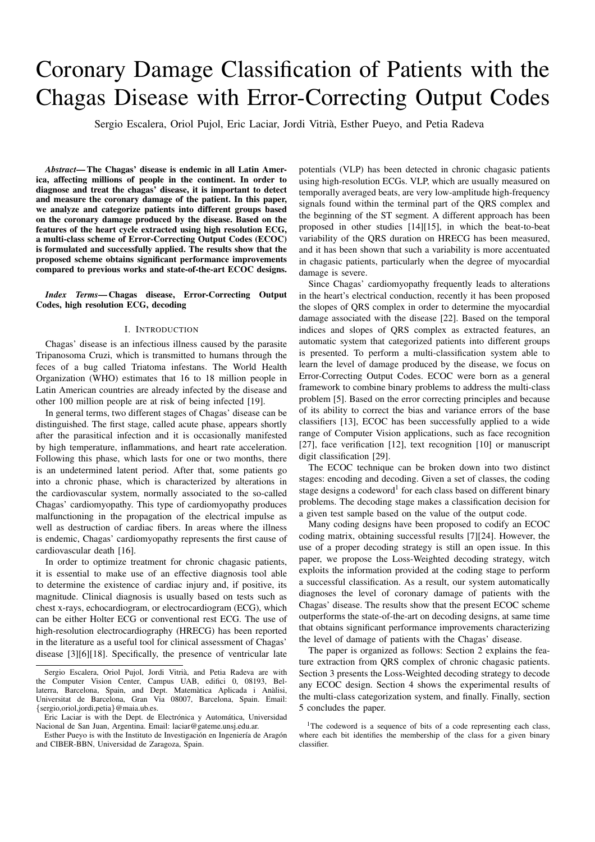# Coronary Damage Classification of Patients with the Chagas Disease with Error-Correcting Output Codes

Sergio Escalera, Oriol Pujol, Eric Laciar, Jordi Vitria, Esther Pueyo, and Petia Radeva `

*Abstract*— The Chagas' disease is endemic in all Latin America, affecting millions of people in the continent. In order to diagnose and treat the chagas' disease, it is important to detect and measure the coronary damage of the patient. In this paper, we analyze and categorize patients into different groups based on the coronary damage produced by the disease. Based on the features of the heart cycle extracted using high resolution ECG, a multi-class scheme of Error-Correcting Output Codes (ECOC) is formulated and successfully applied. The results show that the proposed scheme obtains significant performance improvements compared to previous works and state-of-the-art ECOC designs.

*Index Terms*— Chagas disease, Error-Correcting Output Codes, high resolution ECG, decoding

#### I. INTRODUCTION

Chagas' disease is an infectious illness caused by the parasite Tripanosoma Cruzi, which is transmitted to humans through the feces of a bug called Triatoma infestans. The World Health Organization (WHO) estimates that 16 to 18 million people in Latin American countries are already infected by the disease and other 100 million people are at risk of being infected [19].

In general terms, two different stages of Chagas' disease can be distinguished. The first stage, called acute phase, appears shortly after the parasitical infection and it is occasionally manifested by high temperature, inflammations, and heart rate acceleration. Following this phase, which lasts for one or two months, there is an undetermined latent period. After that, some patients go into a chronic phase, which is characterized by alterations in the cardiovascular system, normally associated to the so-called Chagas' cardiomyopathy. This type of cardiomyopathy produces malfunctioning in the propagation of the electrical impulse as well as destruction of cardiac fibers. In areas where the illness is endemic, Chagas' cardiomyopathy represents the first cause of cardiovascular death [16].

In order to optimize treatment for chronic chagasic patients, it is essential to make use of an effective diagnosis tool able to determine the existence of cardiac injury and, if positive, its magnitude. Clinical diagnosis is usually based on tests such as chest x-rays, echocardiogram, or electrocardiogram (ECG), which can be either Holter ECG or conventional rest ECG. The use of high-resolution electrocardiography (HRECG) has been reported in the literature as a useful tool for clinical assessment of Chagas' disease [3][6][18]. Specifically, the presence of ventricular late

potentials (VLP) has been detected in chronic chagasic patients using high-resolution ECGs. VLP, which are usually measured on temporally averaged beats, are very low-amplitude high-frequency signals found within the terminal part of the QRS complex and the beginning of the ST segment. A different approach has been proposed in other studies [14][15], in which the beat-to-beat variability of the QRS duration on HRECG has been measured, and it has been shown that such a variability is more accentuated in chagasic patients, particularly when the degree of myocardial damage is severe.

Since Chagas' cardiomyopathy frequently leads to alterations in the heart's electrical conduction, recently it has been proposed the slopes of QRS complex in order to determine the myocardial damage associated with the disease [22]. Based on the temporal indices and slopes of QRS complex as extracted features, an automatic system that categorized patients into different groups is presented. To perform a multi-classification system able to learn the level of damage produced by the disease, we focus on Error-Correcting Output Codes. ECOC were born as a general framework to combine binary problems to address the multi-class problem [5]. Based on the error correcting principles and because of its ability to correct the bias and variance errors of the base classifiers [13], ECOC has been successfully applied to a wide range of Computer Vision applications, such as face recognition [27], face verification [12], text recognition [10] or manuscript digit classification [29].

The ECOC technique can be broken down into two distinct stages: encoding and decoding. Given a set of classes, the coding stage designs a codeword<sup>1</sup> for each class based on different binary problems. The decoding stage makes a classification decision for a given test sample based on the value of the output code.

Many coding designs have been proposed to codify an ECOC coding matrix, obtaining successful results [7][24]. However, the use of a proper decoding strategy is still an open issue. In this paper, we propose the Loss-Weighted decoding strategy, witch exploits the information provided at the coding stage to perform a successful classification. As a result, our system automatically diagnoses the level of coronary damage of patients with the Chagas' disease. The results show that the present ECOC scheme outperforms the state-of-the-art on decoding designs, at same time that obtains significant performance improvements characterizing the level of damage of patients with the Chagas' disease.

The paper is organized as follows: Section 2 explains the feature extraction from QRS complex of chronic chagasic patients. Section 3 presents the Loss-Weighted decoding strategy to decode any ECOC design. Section 4 shows the experimental results of the multi-class categorization system, and finally. Finally, section 5 concludes the paper.

Sergio Escalera, Oriol Pujol, Jordi Vitrià, and Petia Radeva are with the Computer Vision Center, Campus UAB, edifici 0, 08193, Bellaterra, Barcelona, Spain, and Dept. Matemàtica Aplicada i Anàlisi, Universitat de Barcelona, Gran Via 08007, Barcelona, Spain. Email: {sergio,oriol,jordi,petia}@maia.ub.es.

Eric Laciar is with the Dept. de Electrónica y Automática, Universidad Nacional de San Juan, Argentina. Email: laciar@gateme.unsj.edu.ar.

Esther Pueyo is with the Instituto de Investigación en Ingeniería de Aragón and CIBER-BBN, Universidad de Zaragoza, Spain.

<sup>&</sup>lt;sup>1</sup>The codeword is a sequence of bits of a code representing each class, where each bit identifies the membership of the class for a given binary classifier.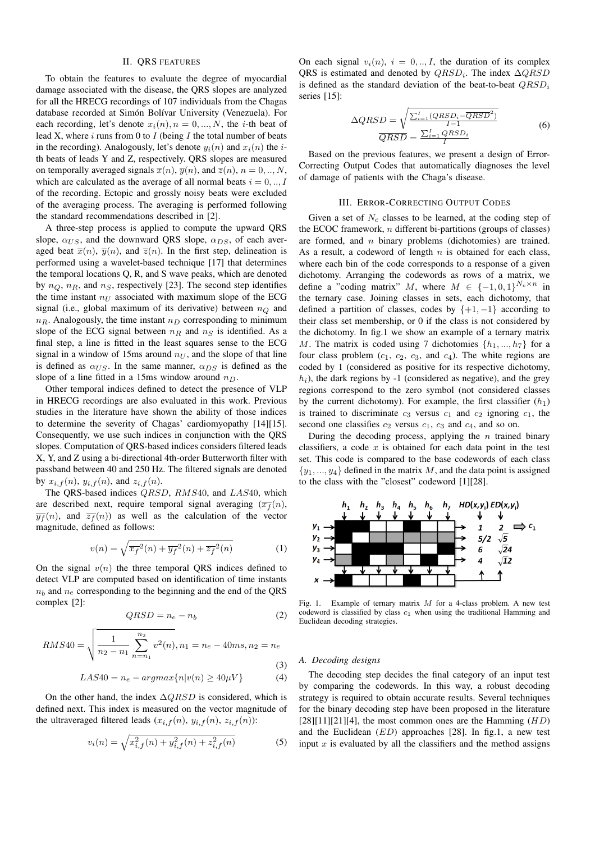### II. QRS FEATURES

To obtain the features to evaluate the degree of myocardial damage associated with the disease, the QRS slopes are analyzed for all the HRECG recordings of 107 individuals from the Chagas database recorded at Simón Bolívar University (Venezuela). For each recording, let's denote  $x_i(n)$ ,  $n = 0, ..., N$ , the *i*-th beat of lead X, where  $i$  runs from 0 to  $I$  (being  $I$  the total number of beats in the recording). Analogously, let's denote  $y_i(n)$  and  $x_i(n)$  the *i*th beats of leads Y and Z, respectively. QRS slopes are measured on temporally averaged signals  $\overline{x}(n)$ ,  $\overline{y}(n)$ , and  $\overline{z}(n)$ ,  $n = 0, ..., N$ , which are calculated as the average of all normal beats  $i = 0, \dots, I$ of the recording. Ectopic and grossly noisy beats were excluded of the averaging process. The averaging is performed following the standard recommendations described in [2].

A three-step process is applied to compute the upward QRS slope,  $\alpha_{US}$ , and the downward QRS slope,  $\alpha_{DS}$ , of each averaged beat  $\bar{x}(n)$ ,  $\bar{y}(n)$ , and  $\bar{z}(n)$ . In the first step, delineation is performed using a wavelet-based technique [17] that determines the temporal locations Q, R, and S wave peaks, which are denoted by  $n_Q$ ,  $n_R$ , and  $n_S$ , respectively [23]. The second step identifies the time instant  $n_U$  associated with maximum slope of the ECG signal (i.e., global maximum of its derivative) between  $n_Q$  and  $n_R$ . Analogously, the time instant  $n_D$  corresponding to minimum slope of the ECG signal between  $n_R$  and  $n_S$  is identified. As a final step, a line is fitted in the least squares sense to the ECG signal in a window of 15ms around  $n_U$ , and the slope of that line is defined as  $\alpha_{US}$ . In the same manner,  $\alpha_{DS}$  is defined as the slope of a line fitted in a 15ms window around  $n_D$ .

Other temporal indices defined to detect the presence of VLP in HRECG recordings are also evaluated in this work. Previous studies in the literature have shown the ability of those indices to determine the severity of Chagas' cardiomyopathy [14][15]. Consequently, we use such indices in conjunction with the ORS slopes. Computation of QRS-based indices considers filtered leads X, Y, and Z using a bi-directional 4th-order Butterworth filter with passband between 40 and 250 Hz. The filtered signals are denoted by  $x_{i,f}(n)$ ,  $y_{i,f}(n)$ , and  $z_{i,f}(n)$ .

The QRS-based indices QRSD, RMS40, and LAS40, which are described next, require temporal signal averaging  $(\overline{x_f}(n))$ ,  $\overline{y_f}(n)$ , and  $\overline{z_f}(n)$  as well as the calculation of the vector magnitude, defined as follows:

$$
v(n) = \sqrt{\overline{x_f}^2(n) + \overline{y_f}^2(n) + \overline{z_f}^2(n)}
$$
 (1)

On the signal  $v(n)$  the three temporal QRS indices defined to detect VLP are computed based on identification of time instants  $n_b$  and  $n_e$  corresponding to the beginning and the end of the QRS complex [2]:

$$
QRSD = n_e - n_b \tag{2}
$$

$$
RMS40 = \sqrt{\frac{1}{n_2 - n_1} \sum_{n=n_1}^{n_2} v^2(n)}, n_1 = n_e - 40ms, n_2 = n_e
$$
\n
$$
LAS40 = n_e - argmax\{n|v(n) \ge 40\mu V\}
$$
\n(3)

On the other hand, the index  $\Delta Q RSD$  is considered, which is defined next. This index is measured on the vector magnitude of the ultraveraged filtered leads  $(x_{i,f}(n), y_{i,f}(n), z_{i,f}(n))$ :

$$
v_i(n) = \sqrt{x_{i,f}^2(n) + y_{i,f}^2(n) + z_{i,f}^2(n)}
$$
 (5)

On each signal  $v_i(n)$ ,  $i = 0, ..., I$ , the duration of its complex QRS is estimated and denoted by  $QRSD_i$ . The index  $\Delta QRSD$ is defined as the standard deviation of the beat-to-beat  $QRSD_i$ series [15]:

$$
\Delta QRSD = \sqrt{\frac{\sum_{i=1}^{I} (QRSD_i - \overline{QRSD}^2)}{I-1}}
$$
(6)  

$$
\overline{QRSD} = \frac{\sum_{i=1}^{I} QRSD_i}{I}
$$

Based on the previous features, we present a design of Error-Correcting Output Codes that automatically diagnoses the level of damage of patients with the Chaga's disease.

#### III. ERROR-CORRECTING OUTPUT CODES

Given a set of  $N_c$  classes to be learned, at the coding step of the ECOC framework,  $n$  different bi-partitions (groups of classes) are formed, and  $n$  binary problems (dichotomies) are trained. As a result, a codeword of length  $n$  is obtained for each class, where each bin of the code corresponds to a response of a given dichotomy. Arranging the codewords as rows of a matrix, we define a "coding matrix" M, where  $M \in \{-1,0,1\}^{N_c \times n}$  in the ternary case. Joining classes in sets, each dichotomy, that defined a partition of classes, codes by  $\{+1, -1\}$  according to their class set membership, or 0 if the class is not considered by the dichotomy. In fig.1 we show an example of a ternary matrix M. The matrix is coded using 7 dichotomies  $\{h_1, ..., h_7\}$  for a four class problem  $(c_1, c_2, c_3,$  and  $c_4$ ). The white regions are coded by 1 (considered as positive for its respective dichotomy,  $h_i$ ), the dark regions by -1 (considered as negative), and the grey regions correspond to the zero symbol (not considered classes by the current dichotomy). For example, the first classifier  $(h_1)$ is trained to discriminate  $c_3$  versus  $c_1$  and  $c_2$  ignoring  $c_1$ , the second one classifies  $c_2$  versus  $c_1$ ,  $c_3$  and  $c_4$ , and so on.

During the decoding process, applying the  $n$  trained binary classifiers, a code  $x$  is obtained for each data point in the test set. This code is compared to the base codewords of each class  $\{y_1, ..., y_4\}$  defined in the matrix M, and the data point is assigned to the class with the "closest" codeword [1][28].



Fig. 1. Example of ternary matrix  $M$  for a 4-class problem. A new test codeword is classified by class  $c_1$  when using the traditional Hamming and Euclidean decoding strategies.

#### *A. Decoding designs*

The decoding step decides the final category of an input test by comparing the codewords. In this way, a robust decoding strategy is required to obtain accurate results. Several techniques for the binary decoding step have been proposed in the literature  $[28][11][21][4]$ , the most common ones are the Hamming  $(HD)$ and the Euclidean  $(ED)$  approaches [28]. In fig.1, a new test input  $x$  is evaluated by all the classifiers and the method assigns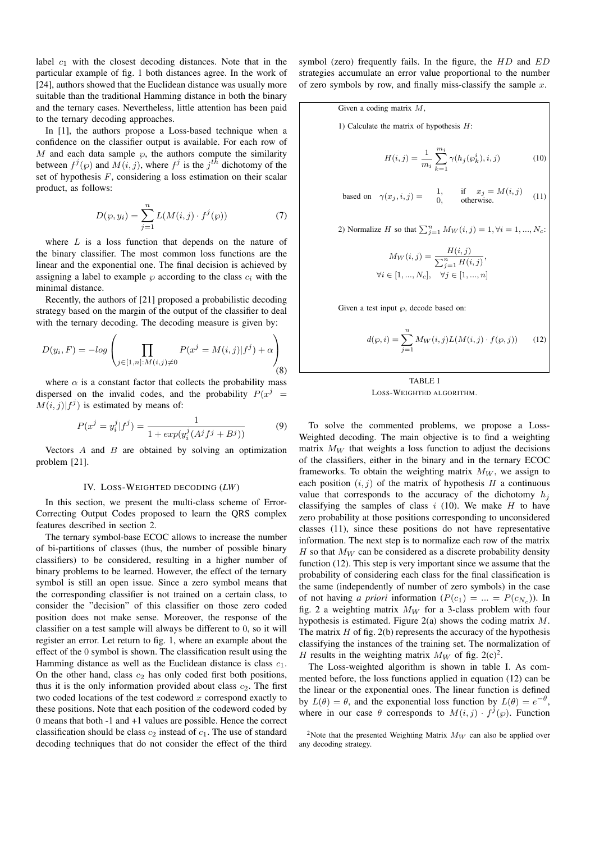label  $c_1$  with the closest decoding distances. Note that in the particular example of fig. 1 both distances agree. In the work of [24], authors showed that the Euclidean distance was usually more suitable than the traditional Hamming distance in both the binary and the ternary cases. Nevertheless, little attention has been paid to the ternary decoding approaches.

In [1], the authors propose a Loss-based technique when a confidence on the classifier output is available. For each row of M and each data sample  $\wp$ , the authors compute the similarity between  $f^{j}(\varphi)$  and  $M(i, j)$ , where  $f^{j}$  is the  $j^{t\bar{h}}$  dichotomy of the set of hypothesis  $F$ , considering a loss estimation on their scalar product, as follows:

$$
D(\wp, y_i) = \sum_{j=1}^{n} L(M(i, j) \cdot f^{j}(\wp))
$$
 (7)

where  $L$  is a loss function that depends on the nature of the binary classifier. The most common loss functions are the linear and the exponential one. The final decision is achieved by assigning a label to example  $\wp$  according to the class  $c_i$  with the minimal distance.

Recently, the authors of [21] proposed a probabilistic decoding strategy based on the margin of the output of the classifier to deal with the ternary decoding. The decoding measure is given by:

$$
D(y_i, F) = -\log \left( \prod_{j \in [1, n]: M(i, j) \neq 0} P(x^j = M(i, j) | f^j) + \alpha \right)
$$
(8)

where  $\alpha$  is a constant factor that collects the probability mass dispersed on the invalid codes, and the probability  $P(x^j)$  $M(i, j) | f^j$  is estimated by means of:

$$
P(x^{j} = y_{i}^{j} | f^{j}) = \frac{1}{1 + exp(y_{i}^{j}(A^{j} f^{j} + B^{j}))}
$$
(9)

Vectors  $A$  and  $B$  are obtained by solving an optimization problem [21].

#### IV. LOSS-WEIGHTED DECODING (*LW*)

In this section, we present the multi-class scheme of Error-Correcting Output Codes proposed to learn the QRS complex features described in section 2.

The ternary symbol-base ECOC allows to increase the number of bi-partitions of classes (thus, the number of possible binary classifiers) to be considered, resulting in a higher number of binary problems to be learned. However, the effect of the ternary symbol is still an open issue. Since a zero symbol means that the corresponding classifier is not trained on a certain class, to consider the "decision" of this classifier on those zero coded position does not make sense. Moreover, the response of the classifier on a test sample will always be different to 0, so it will register an error. Let return to fig. 1, where an example about the effect of the 0 symbol is shown. The classification result using the Hamming distance as well as the Euclidean distance is class  $c_1$ . On the other hand, class  $c_2$  has only coded first both positions, thus it is the only information provided about class  $c_2$ . The first two coded locations of the test codeword  $x$  correspond exactly to these positions. Note that each position of the codeword coded by 0 means that both -1 and +1 values are possible. Hence the correct classification should be class  $c_2$  instead of  $c_1$ . The use of standard decoding techniques that do not consider the effect of the third symbol (zero) frequently fails. In the figure, the  $HD$  and  $ED$ strategies accumulate an error value proportional to the number of zero symbols by row, and finally miss-classify the sample  $x$ .

Given a coding matrix M,

1) Calculate the matrix of hypothesis  $H$ :

$$
H(i,j) = \frac{1}{m_i} \sum_{k=1}^{m_i} \gamma(h_j(\wp_k^i), i, j)
$$
 (10)

based on 
$$
\gamma(x_j, i, j) =
$$
 1, if  $x_j = M(i, j)$  (11)  
otherwise.

2) Normalize H so that  $\sum_{j=1}^{n} M_W(i, j) = 1, \forall i = 1, ..., N_c$ :

$$
M_W(i,j) = \frac{H(i,j)}{\sum_{j=1}^n H(i,j)},
$$
  

$$
\forall i \in [1, ..., N_c], \quad \forall j \in [1, ..., n]
$$

Given a test input  $\wp$ , decode based on:

$$
d(\wp, i) = \sum_{j=1}^{n} M_W(i, j) L(M(i, j) \cdot f(\wp, j))
$$
 (12)

### TABLE I LOSS-WEIGHTED ALGORITHM.

To solve the commented problems, we propose a Loss-Weighted decoding. The main objective is to find a weighting matrix  $M_W$  that weights a loss function to adjust the decisions of the classifiers, either in the binary and in the ternary ECOC frameworks. To obtain the weighting matrix  $M_W$ , we assign to each position  $(i, j)$  of the matrix of hypothesis  $H$  a continuous value that corresponds to the accuracy of the dichotomy  $h_j$ classifying the samples of class  $i$  (10). We make  $H$  to have zero probability at those positions corresponding to unconsidered classes (11), since these positions do not have representative information. The next step is to normalize each row of the matrix H so that  $M_W$  can be considered as a discrete probability density function (12). This step is very important since we assume that the probability of considering each class for the final classification is the same (independently of number of zero symbols) in the case of not having *a priori* information  $(P(c_1) = ... = P(c_{N_c}))$ . In fig. 2 a weighting matrix  $M_W$  for a 3-class problem with four hypothesis is estimated. Figure 2(a) shows the coding matrix M. The matrix  $H$  of fig. 2(b) represents the accuracy of the hypothesis classifying the instances of the training set. The normalization of H results in the weighting matrix  $M_W$  of fig. 2(c)<sup>2</sup>.

The Loss-weighted algorithm is shown in table I. As commented before, the loss functions applied in equation (12) can be the linear or the exponential ones. The linear function is defined by  $L(\theta) = \theta$ , and the exponential loss function by  $L(\theta) = e^{-\theta}$ , where in our case  $\theta$  corresponds to  $M(i, j) \cdot f^{j}(\varphi)$ . Function

<sup>&</sup>lt;sup>2</sup>Note that the presented Weighting Matrix  $M_W$  can also be applied over any decoding strategy.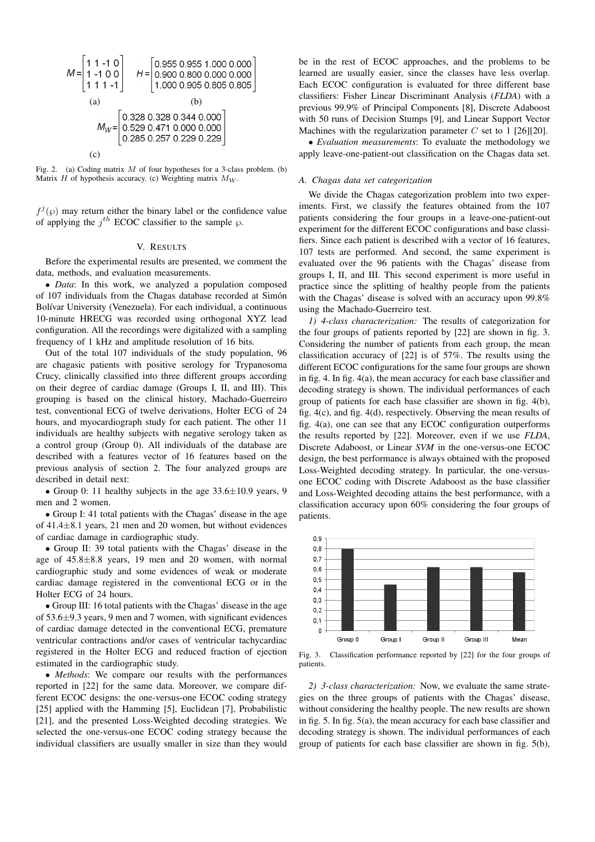

Fig. 2. (a) Coding matrix  $M$  of four hypotheses for a 3-class problem. (b) Matrix  $H$  of hypothesis accuracy. (c) Weighting matrix  $M_W$ .

 $f^{j}(\varphi)$  may return either the binary label or the confidence value of applying the  $j^{th}$  ECOC classifier to the sample  $\wp$ .

### V. RESULTS

Before the experimental results are presented, we comment the data, methods, and evaluation measurements.

• *Data*: In this work, we analyzed a population composed of 107 individuals from the Chagas database recorded at Simón Bolívar University (Venezuela). For each individual, a continuous 10-minute HRECG was recorded using orthogonal XYZ lead configuration. All the recordings were digitalized with a sampling frequency of 1 kHz and amplitude resolution of 16 bits.

Out of the total 107 individuals of the study population, 96 are chagasic patients with positive serology for Trypanosoma Crucy, clinically classified into three different groups according on their degree of cardiac damage (Groups I, II, and III). This grouping is based on the clinical history, Machado-Guerreiro test, conventional ECG of twelve derivations, Holter ECG of 24 hours, and myocardiograph study for each patient. The other 11 individuals are healthy subjects with negative serology taken as a control group (Group 0). All individuals of the database are described with a features vector of 16 features based on the previous analysis of section 2. The four analyzed groups are described in detail next:

• Group 0: 11 healthy subjects in the age  $33.6 \pm 10.9$  years, 9 men and 2 women.

• Group I: 41 total patients with the Chagas' disease in the age of 41.4±8.1 years, 21 men and 20 women, but without evidences of cardiac damage in cardiographic study.

• Group II: 39 total patients with the Chagas' disease in the age of 45.8±8.8 years, 19 men and 20 women, with normal cardiographic study and some evidences of weak or moderate cardiac damage registered in the conventional ECG or in the Holter ECG of 24 hours.

• Group III: 16 total patients with the Chagas' disease in the age of 53.6±9.3 years, 9 men and 7 women, with significant evidences of cardiac damage detected in the conventional ECG, premature ventricular contractions and/or cases of ventricular tachycardiac registered in the Holter ECG and reduced fraction of ejection estimated in the cardiographic study.

• *Methods*: We compare our results with the performances reported in [22] for the same data. Moreover, we compare different ECOC designs: the one-versus-one ECOC coding strategy [25] applied with the Hamming [5], Euclidean [7], Probabilistic [21], and the presented Loss-Weighted decoding strategies. We selected the one-versus-one ECOC coding strategy because the individual classifiers are usually smaller in size than they would be in the rest of ECOC approaches, and the problems to be learned are usually easier, since the classes have less overlap. Each ECOC configuration is evaluated for three different base classifiers: Fisher Linear Discriminant Analysis (*FLDA*) with a previous 99.9% of Principal Components [8], Discrete Adaboost with 50 runs of Decision Stumps [9], and Linear Support Vector Machines with the regularization parameter  $C$  set to 1 [26][20].

• *Evaluation measurements*: To evaluate the methodology we apply leave-one-patient-out classification on the Chagas data set.

# *A. Chagas data set categorization*

We divide the Chagas categorization problem into two experiments. First, we classify the features obtained from the 107 patients considering the four groups in a leave-one-patient-out experiment for the different ECOC configurations and base classifiers. Since each patient is described with a vector of 16 features, 107 tests are performed. And second, the same experiment is evaluated over the 96 patients with the Chagas' disease from groups I, II, and III. This second experiment is more useful in practice since the splitting of healthy people from the patients with the Chagas' disease is solved with an accuracy upon 99.8% using the Machado-Guerreiro test.

*1) 4-class characterization:* The results of categorization for the four groups of patients reported by [22] are shown in fig. 3. Considering the number of patients from each group, the mean classification accuracy of [22] is of 57%. The results using the different ECOC configurations for the same four groups are shown in fig. 4. In fig. 4(a), the mean accuracy for each base classifier and decoding strategy is shown. The individual performances of each group of patients for each base classifier are shown in fig. 4(b), fig. 4(c), and fig. 4(d), respectively. Observing the mean results of fig. 4(a), one can see that any ECOC configuration outperforms the results reported by [22]. Moreover, even if we use *FLDA*, Discrete Adaboost, or Linear *SVM* in the one-versus-one ECOC design, the best performance is always obtained with the proposed Loss-Weighted decoding strategy. In particular, the one-versusone ECOC coding with Discrete Adaboost as the base classifier and Loss-Weighted decoding attains the best performance, with a classification accuracy upon 60% considering the four groups of patients.



Fig. 3. Classification performance reported by [22] for the four groups of patients.

*2) 3-class characterization:* Now, we evaluate the same strategies on the three groups of patients with the Chagas' disease, without considering the healthy people. The new results are shown in fig. 5. In fig. 5(a), the mean accuracy for each base classifier and decoding strategy is shown. The individual performances of each group of patients for each base classifier are shown in fig. 5(b),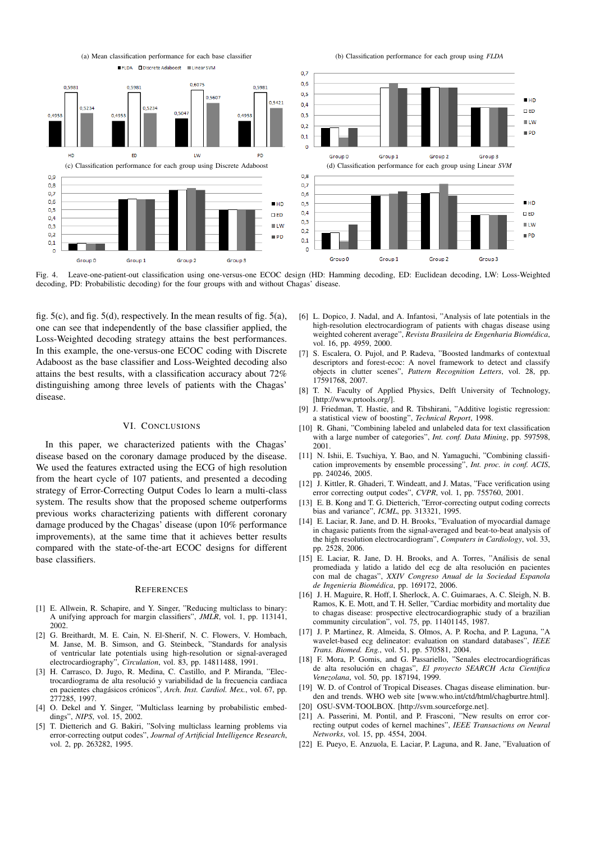

Fig. 4. Leave-one-patient-out classification using one-versus-one ECOC design (HD: Hamming decoding, ED: Euclidean decoding, LW: Loss-Weighted decoding, PD: Probabilistic decoding) for the four groups with and without Chagas' disease.

fig. 5(c), and fig. 5(d), respectively. In the mean results of fig. 5(a), one can see that independently of the base classifier applied, the Loss-Weighted decoding strategy attains the best performances. In this example, the one-versus-one ECOC coding with Discrete Adaboost as the base classifier and Loss-Weighted decoding also attains the best results, with a classification accuracy about 72% distinguishing among three levels of patients with the Chagas' disease.

# VI. CONCLUSIONS

In this paper, we characterized patients with the Chagas' disease based on the coronary damage produced by the disease. We used the features extracted using the ECG of high resolution from the heart cycle of 107 patients, and presented a decoding strategy of Error-Correcting Output Codes lo learn a multi-class system. The results show that the proposed scheme outperforms previous works characterizing patients with different coronary damage produced by the Chagas' disease (upon 10% performance improvements), at the same time that it achieves better results compared with the state-of-the-art ECOC designs for different base classifiers.

#### **REFERENCES**

- [1] E. Allwein, R. Schapire, and Y. Singer, "Reducing multiclass to binary: A unifying approach for margin classifiers", *JMLR*, vol. 1, pp. 113141, 2002.
- [2] G. Breithardt, M. E. Cain, N. El-Sherif, N. C. Flowers, V. Hombach, M. Janse, M. B. Simson, and G. Steinbeck, "Standards for analysis of ventricular late potentials using high-resolution or signal-averaged electrocardiography", *Circulation*, vol. 83, pp. 14811488, 1991.
- [3] H. Carrasco, D. Jugo, R. Medina, C. Castillo, and P. Miranda, "Electrocardiograma de alta resolucio y variabilidad de la frecuencia cardiaca ´ en pacientes chagásicos crónicos", Arch. Inst. Cardiol. Mex., vol. 67, pp. 277285, 1997.
- [4] O. Dekel and Y. Singer, "Multiclass learning by probabilistic embeddings", *NIPS*, vol. 15, 2002.
- [5] T. Dietterich and G. Bakiri, "Solving multiclass learning problems via error-correcting output codes", *Journal of Artificial Intelligence Research*, vol. 2, pp. 263282, 1995.
- [6] L. Dopico, J. Nadal, and A. Infantosi, "Analysis of late potentials in the high-resolution electrocardiogram of patients with chagas disease using weighted coherent average", *Revista Brasileira de Engenharia Biomedica ´* , vol. 16, pp. 4959, 2000.
- [7] S. Escalera, O. Pujol, and P. Radeva, "Boosted landmarks of contextual descriptors and forest-ecoc: A novel framework to detect and classify objects in clutter scenes", *Pattern Recognition Letters*, vol. 28, pp. 17591768, 2007.
- [8] T. N. Faculty of Applied Physics, Delft University of Technology, [http://www.prtools.org/].
- [9] J. Friedman, T. Hastie, and R. Tibshirani, "Additive logistic regression: a statistical view of boosting", *Technical Report*, 1998.
- [10] R. Ghani, "Combining labeled and unlabeled data for text classification with a large number of categories", *Int. conf. Data Mining*, pp. 597598, 2001.
- [11] N. Ishii, E. Tsuchiya, Y. Bao, and N. Yamaguchi, "Combining classification improvements by ensemble processing", *Int. proc. in conf. ACIS*, pp. 240246, 2005.
- [12] J. Kittler, R. Ghaderi, T. Windeatt, and J. Matas, "Face verification using error correcting output codes", *CVPR*, vol. 1, pp. 755760, 2001.
- [13] E. B. Kong and T. G. Dietterich, "Error-correcting output coding corrects bias and variance", *ICML*, pp. 313321, 1995.
- [14] E. Laciar, R. Jane, and D. H. Brooks, "Evaluation of myocardial damage in chagasic patients from the signal-averaged and beat-to-beat analysis of the high resolution electrocardiogram", *Computers in Cardiology*, vol. 33, pp. 2528, 2006.
- [15] E. Laciar, R. Jane, D. H. Brooks, and A. Torres, "Análisis de senal promediada y latido a latido del ecg de alta resolución en pacientes con mal de chagas", *XXIV Congreso Anual de la Sociedad Espanola de Ingenieria Biomedica ´* , pp. 169172, 2006.
- [16] J. H. Maguire, R. Hoff, I. Sherlock, A. C. Guimaraes, A. C. Sleigh, N. B. Ramos, K. E. Mott, and T. H. Seller, "Cardiac morbidity and mortality due to chagas disease: prospective electrocardiographic study of a brazilian community circulation", vol. 75, pp. 11401145, 1987.
- [17] J. P. Martinez, R. Almeida, S. Olmos, A. P. Rocha, and P. Laguna, "A wavelet-based ecg delineator: evaluation on standard databases", *IEEE Trans. Biomed. Eng.*, vol. 51, pp. 570581, 2004.
- [18] F. Mora, P. Gomis, and G. Passariello, "Senales electrocardiográficas de alta resolución en chagas", El proyecto SEARCH Acta Cientifica *Venezolana*, vol. 50, pp. 187194, 1999.
- [19] W. D. of Control of Tropical Diseases. Chagas disease elimination. burden and trends. WHO web site [www.who.int/ctd/html/chagburtre.html].
- [20] OSU-SVM-TOOLBOX. [http://svm.sourceforge.net].
- [21] A. Passerini, M. Pontil, and P. Frasconi, "New results on error correcting output codes of kernel machines", *IEEE Transactions on Neural Networks*, vol. 15, pp. 4554, 2004.
- [22] E. Pueyo, E. Anzuola, E. Laciar, P. Laguna, and R. Jane, "Evaluation of